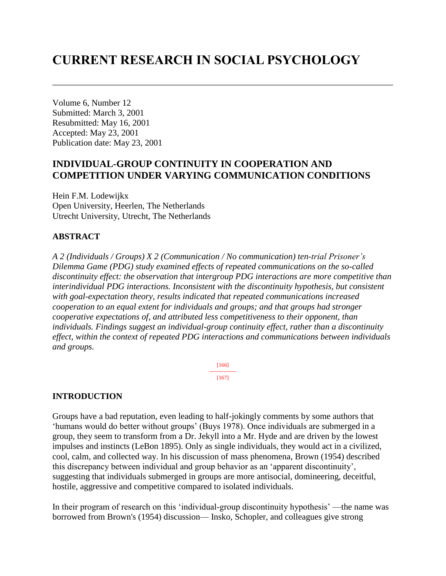# **CURRENT RESEARCH IN SOCIAL PSYCHOLOGY**

Volume 6, Number 12 Submitted: March 3, 2001 Resubmitted: May 16, 2001 Accepted: May 23, 2001 Publication date: May 23, 2001

# **INDIVIDUAL-GROUP CONTINUITY IN COOPERATION AND COMPETITION UNDER VARYING COMMUNICATION CONDITIONS**

Hein F.M. Lodewijkx Open University, Heerlen, The Netherlands Utrecht University, Utrecht, The Netherlands

#### **ABSTRACT**

*A 2 (Individuals / Groups) X 2 (Communication / No communication) ten-trial Prisoner's Dilemma Game (PDG) study examined effects of repeated communications on the so-called discontinuity effect: the observation that intergroup PDG interactions are more competitive than interindividual PDG interactions. Inconsistent with the discontinuity hypothesis, but consistent with goal-expectation theory, results indicated that repeated communications increased cooperation to an equal extent for individuals and groups; and that groups had stronger cooperative expectations of, and attributed less competitiveness to their opponent, than individuals. Findings suggest an individual-group continuity effect, rather than a discontinuity effect, within the context of repeated PDG interactions and communications between individuals and groups.*

> [166] --------------- [167]

#### **INTRODUCTION**

Groups have a bad reputation, even leading to half-jokingly comments by some authors that 'humans would do better without groups' (Buys 1978). Once individuals are submerged in a group, they seem to transform from a Dr. Jekyll into a Mr. Hyde and are driven by the lowest impulses and instincts (LeBon 1895). Only as single individuals, they would act in a civilized, cool, calm, and collected way. In his discussion of mass phenomena, Brown (1954) described this discrepancy between individual and group behavior as an 'apparent discontinuity', suggesting that individuals submerged in groups are more antisocial, domineering, deceitful, hostile, aggressive and competitive compared to isolated individuals.

In their program of research on this 'individual-group discontinuity hypothesis' —the name was borrowed from Brown's (1954) discussion— Insko, Schopler, and colleagues give strong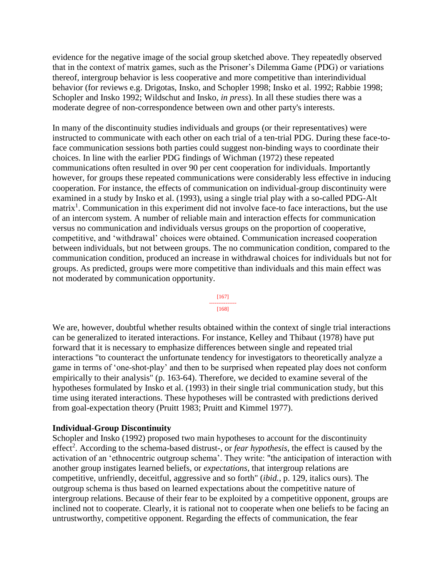evidence for the negative image of the social group sketched above. They repeatedly observed that in the context of matrix games, such as the Prisoner's Dilemma Game (PDG) or variations thereof, intergroup behavior is less cooperative and more competitive than interindividual behavior (for reviews e.g. Drigotas, Insko, and Schopler 1998; Insko et al. 1992; Rabbie 1998; Schopler and Insko 1992; Wildschut and Insko, *in press*). In all these studies there was a moderate degree of non-correspondence between own and other party's interests.

In many of the discontinuity studies individuals and groups (or their representatives) were instructed to communicate with each other on each trial of a ten-trial PDG. During these face-toface communication sessions both parties could suggest non-binding ways to coordinate their choices. In line with the earlier PDG findings of Wichman (1972) these repeated communications often resulted in over 90 per cent cooperation for individuals. Importantly however, for groups these repeated communications were considerably less effective in inducing cooperation. For instance, the effects of communication on individual-group discontinuity were examined in a study by Insko et al. (1993), using a single trial play with a so-called PDG-Alt matrix<sup>1</sup>. Communication in this experiment did not involve face-to face interactions, but the use of an intercom system. A number of reliable main and interaction effects for communication versus no communication and individuals versus groups on the proportion of cooperative, competitive, and 'withdrawal' choices were obtained. Communication increased cooperation between individuals, but not between groups. The no communication condition, compared to the communication condition, produced an increase in withdrawal choices for individuals but not for groups. As predicted, groups were more competitive than individuals and this main effect was not moderated by communication opportunity.

> [167] --------------- [168]

We are, however, doubtful whether results obtained within the context of single trial interactions can be generalized to iterated interactions. For instance, Kelley and Thibaut (1978) have put forward that it is necessary to emphasize differences between single and repeated trial interactions "to counteract the unfortunate tendency for investigators to theoretically analyze a game in terms of 'one-shot-play' and then to be surprised when repeated play does not conform empirically to their analysis" (p. 163-64). Therefore, we decided to examine several of the hypotheses formulated by Insko et al. (1993) in their single trial communication study, but this time using iterated interactions. These hypotheses will be contrasted with predictions derived from goal-expectation theory (Pruitt 1983; Pruitt and Kimmel 1977).

#### **Individual-Group Discontinuity**

Schopler and Insko (1992) proposed two main hypotheses to account for the discontinuity effect<sup>2</sup>. According to the schema-based distrust-, or *fear hypothesis*, the effect is caused by the activation of an 'ethnocentric outgroup schema'. They write: "the anticipation of interaction with another group instigates learned beliefs, or *expectations*, that intergroup relations are competitive, unfriendly, deceitful, aggressive and so forth" (*ibid.*, p. 129, italics ours). The outgroup schema is thus based on learned expectations about the competitive nature of intergroup relations. Because of their fear to be exploited by a competitive opponent, groups are inclined not to cooperate. Clearly, it is rational not to cooperate when one beliefs to be facing an untrustworthy, competitive opponent. Regarding the effects of communication, the fear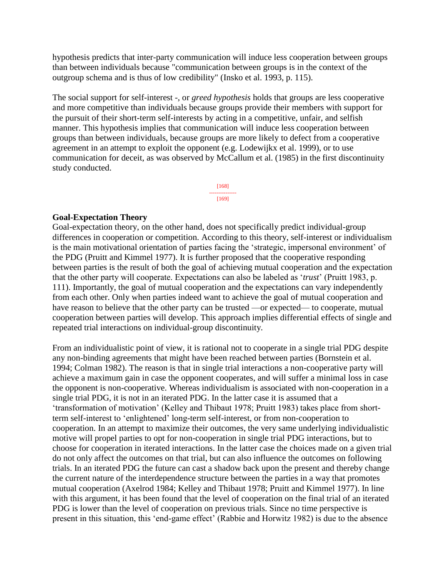hypothesis predicts that inter-party communication will induce less cooperation between groups than between individuals because "communication between groups is in the context of the outgroup schema and is thus of low credibility" (Insko et al. 1993, p. 115).

The social support for self-interest -, or *greed hypothesis* holds that groups are less cooperative and more competitive than individuals because groups provide their members with support for the pursuit of their short-term self-interests by acting in a competitive, unfair, and selfish manner. This hypothesis implies that communication will induce less cooperation between groups than between individuals, because groups are more likely to defect from a cooperative agreement in an attempt to exploit the opponent (e.g. Lodewijkx et al. 1999), or to use communication for deceit, as was observed by McCallum et al. (1985) in the first discontinuity study conducted.

> [168] --------------- [169]

#### **Goal-Expectation Theory**

Goal-expectation theory, on the other hand, does not specifically predict individual-group differences in cooperation or competition. According to this theory, self-interest or individualism is the main motivational orientation of parties facing the 'strategic, impersonal environment' of the PDG (Pruitt and Kimmel 1977). It is further proposed that the cooperative responding between parties is the result of both the goal of achieving mutual cooperation and the expectation that the other party will cooperate. Expectations can also be labeled as '*trust*' (Pruitt 1983, p. 111). Importantly, the goal of mutual cooperation and the expectations can vary independently from each other. Only when parties indeed want to achieve the goal of mutual cooperation and have reason to believe that the other party can be trusted —or expected— to cooperate, mutual cooperation between parties will develop. This approach implies differential effects of single and repeated trial interactions on individual-group discontinuity.

From an individualistic point of view, it is rational not to cooperate in a single trial PDG despite any non-binding agreements that might have been reached between parties (Bornstein et al. 1994; Colman 1982). The reason is that in single trial interactions a non-cooperative party will achieve a maximum gain in case the opponent cooperates, and will suffer a minimal loss in case the opponent is non-cooperative. Whereas individualism is associated with non-cooperation in a single trial PDG, it is not in an iterated PDG. In the latter case it is assumed that a 'transformation of motivation' (Kelley and Thibaut 1978; Pruitt 1983) takes place from shortterm self-interest to 'enlightened' long-term self-interest, or from non-cooperation to cooperation. In an attempt to maximize their outcomes, the very same underlying individualistic motive will propel parties to opt for non-cooperation in single trial PDG interactions, but to choose for cooperation in iterated interactions. In the latter case the choices made on a given trial do not only affect the outcomes on that trial, but can also influence the outcomes on following trials. In an iterated PDG the future can cast a shadow back upon the present and thereby change the current nature of the interdependence structure between the parties in a way that promotes mutual cooperation (Axelrod 1984; Kelley and Thibaut 1978; Pruitt and Kimmel 1977). In line with this argument, it has been found that the level of cooperation on the final trial of an iterated PDG is lower than the level of cooperation on previous trials. Since no time perspective is present in this situation, this 'end-game effect' (Rabbie and Horwitz 1982) is due to the absence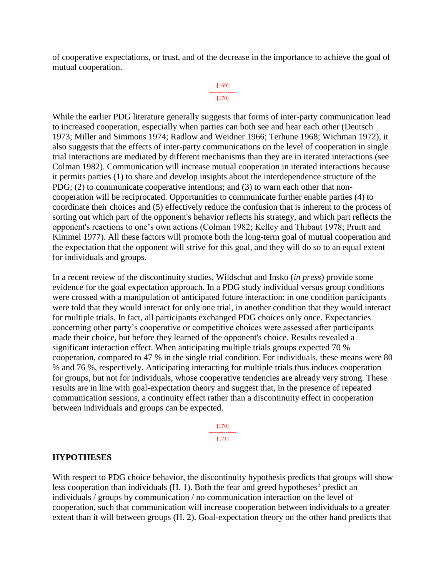of cooperative expectations, or trust, and of the decrease in the importance to achieve the goal of mutual cooperation.

#### [169] --------------- [170]

While the earlier PDG literature generally suggests that forms of inter-party communication lead to increased cooperation, especially when parties can both see and hear each other (Deutsch 1973; Miller and Simmons 1974; Radlow and Weidner 1966; Terhune 1968; Wichman 1972), it also suggests that the effects of inter-party communications on the level of cooperation in single trial interactions are mediated by different mechanisms than they are in iterated interactions (see Colman 1982). Communication will increase mutual cooperation in iterated interactions because it permits parties (1) to share and develop insights about the interdependence structure of the PDG; (2) to communicate cooperative intentions; and (3) to warn each other that noncooperation will be reciprocated. Opportunities to communicate further enable parties (4) to coordinate their choices and (5) effectively reduce the confusion that is inherent to the process of sorting out which part of the opponent's behavior reflects his strategy, and which part reflects the opponent's reactions to one's own actions (Colman 1982; Kelley and Thibaut 1978; Pruitt and Kimmel 1977). All these factors will promote both the long-term goal of mutual cooperation and the expectation that the opponent will strive for this goal, and they will do so to an equal extent for individuals and groups.

In a recent review of the discontinuity studies, Wildschut and Insko (*in press*) provide some evidence for the goal expectation approach. In a PDG study individual versus group conditions were crossed with a manipulation of anticipated future interaction: in one condition participants were told that they would interact for only one trial, in another condition that they would interact for multiple trials. In fact, all participants exchanged PDG choices only once. Expectancies concerning other party's cooperative or competitive choices were assessed after participants made their choice, but before they learned of the opponent's choice. Results revealed a significant interaction effect. When anticipating multiple trials groups expected 70 % cooperation, compared to 47 % in the single trial condition. For individuals, these means were 80 % and 76 %, respectively. Anticipating interacting for multiple trials thus induces cooperation for groups, but not for individuals, whose cooperative tendencies are already very strong. These results are in line with goal-expectation theory and suggest that, in the presence of repeated communication sessions, a continuity effect rather than a discontinuity effect in cooperation between individuals and groups can be expected.

> [170] --------------- [171]

#### **HYPOTHESES**

With respect to PDG choice behavior, the discontinuity hypothesis predicts that groups will show less cooperation than individuals  $(H. 1)$ . Both the fear and greed hypotheses<sup>3</sup> predict an individuals / groups by communication / no communication interaction on the level of cooperation, such that communication will increase cooperation between individuals to a greater extent than it will between groups (H. 2). Goal-expectation theory on the other hand predicts that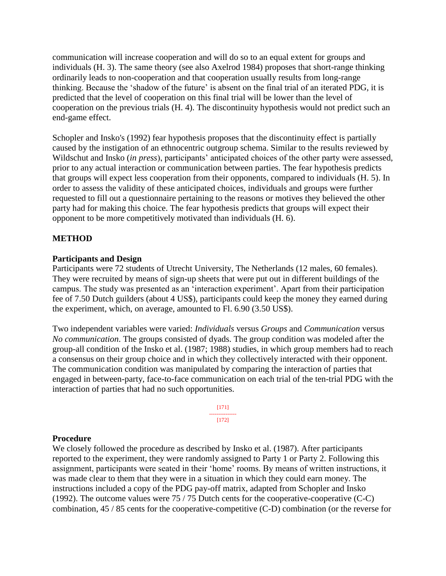communication will increase cooperation and will do so to an equal extent for groups and individuals (H. 3). The same theory (see also Axelrod 1984) proposes that short-range thinking ordinarily leads to non-cooperation and that cooperation usually results from long-range thinking. Because the 'shadow of the future' is absent on the final trial of an iterated PDG, it is predicted that the level of cooperation on this final trial will be lower than the level of cooperation on the previous trials (H. 4). The discontinuity hypothesis would not predict such an end-game effect.

Schopler and Insko's (1992) fear hypothesis proposes that the discontinuity effect is partially caused by the instigation of an ethnocentric outgroup schema. Similar to the results reviewed by Wildschut and Insko (*in press*), participants' anticipated choices of the other party were assessed, prior to any actual interaction or communication between parties. The fear hypothesis predicts that groups will expect less cooperation from their opponents, compared to individuals (H. 5). In order to assess the validity of these anticipated choices, individuals and groups were further requested to fill out a questionnaire pertaining to the reasons or motives they believed the other party had for making this choice. The fear hypothesis predicts that groups will expect their opponent to be more competitively motivated than individuals (H. 6).

# **METHOD**

#### **Participants and Design**

Participants were 72 students of Utrecht University, The Netherlands (12 males, 60 females). They were recruited by means of sign-up sheets that were put out in different buildings of the campus. The study was presented as an 'interaction experiment'. Apart from their participation fee of 7.50 Dutch guilders (about 4 US\$), participants could keep the money they earned during the experiment, which, on average, amounted to Fl. 6.90 (3.50 US\$).

Two independent variables were varied: *Individuals* versus *Groups* and *Communication* versus *No communication*. The groups consisted of dyads. The group condition was modeled after the group-all condition of the Insko et al. (1987; 1988) studies, in which group members had to reach a consensus on their group choice and in which they collectively interacted with their opponent. The communication condition was manipulated by comparing the interaction of parties that engaged in between-party, face-to-face communication on each trial of the ten-trial PDG with the interaction of parties that had no such opportunities.

> [171] --------------- [172]

#### **Procedure**

We closely followed the procedure as described by Insko et al. (1987). After participants reported to the experiment, they were randomly assigned to Party 1 or Party 2. Following this assignment, participants were seated in their 'home' rooms. By means of written instructions, it was made clear to them that they were in a situation in which they could earn money. The instructions included a copy of the PDG pay-off matrix, adapted from Schopler and Insko (1992). The outcome values were 75 / 75 Dutch cents for the cooperative-cooperative (C-C) combination, 45 / 85 cents for the cooperative-competitive (C-D) combination (or the reverse for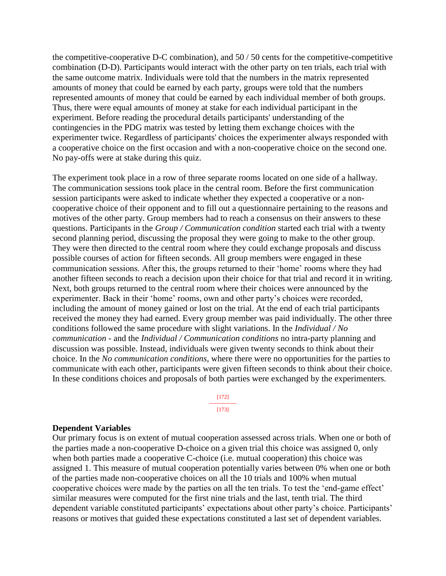the competitive-cooperative D-C combination), and 50 / 50 cents for the competitive-competitive combination (D-D). Participants would interact with the other party on ten trials, each trial with the same outcome matrix. Individuals were told that the numbers in the matrix represented amounts of money that could be earned by each party, groups were told that the numbers represented amounts of money that could be earned by each individual member of both groups. Thus, there were equal amounts of money at stake for each individual participant in the experiment. Before reading the procedural details participants' understanding of the contingencies in the PDG matrix was tested by letting them exchange choices with the experimenter twice. Regardless of participants' choices the experimenter always responded with a cooperative choice on the first occasion and with a non-cooperative choice on the second one. No pay-offs were at stake during this quiz.

The experiment took place in a row of three separate rooms located on one side of a hallway. The communication sessions took place in the central room. Before the first communication session participants were asked to indicate whether they expected a cooperative or a noncooperative choice of their opponent and to fill out a questionnaire pertaining to the reasons and motives of the other party. Group members had to reach a consensus on their answers to these questions. Participants in the *Group / Communication condition* started each trial with a twenty second planning period, discussing the proposal they were going to make to the other group. They were then directed to the central room where they could exchange proposals and discuss possible courses of action for fifteen seconds. All group members were engaged in these communication sessions. After this, the groups returned to their 'home' rooms where they had another fifteen seconds to reach a decision upon their choice for that trial and record it in writing. Next, both groups returned to the central room where their choices were announced by the experimenter. Back in their 'home' rooms, own and other party's choices were recorded, including the amount of money gained or lost on the trial. At the end of each trial participants received the money they had earned. Every group member was paid individually. The other three conditions followed the same procedure with slight variations. In the *Individual / No communication* - and the *Individual / Communication conditions* no intra-party planning and discussion was possible. Instead, individuals were given twenty seconds to think about their choice. In the *No communication conditions*, where there were no opportunities for the parties to communicate with each other, participants were given fifteen seconds to think about their choice. In these conditions choices and proposals of both parties were exchanged by the experimenters.

> [172] --------------- [173]

#### **Dependent Variables**

Our primary focus is on extent of mutual cooperation assessed across trials. When one or both of the parties made a non-cooperative D-choice on a given trial this choice was assigned 0, only when both parties made a cooperative C-choice (i.e. mutual cooperation) this choice was assigned 1. This measure of mutual cooperation potentially varies between 0% when one or both of the parties made non-cooperative choices on all the 10 trials and 100% when mutual cooperative choices were made by the parties on all the ten trials. To test the 'end-game effect' similar measures were computed for the first nine trials and the last, tenth trial. The third dependent variable constituted participants' expectations about other party's choice. Participants' reasons or motives that guided these expectations constituted a last set of dependent variables.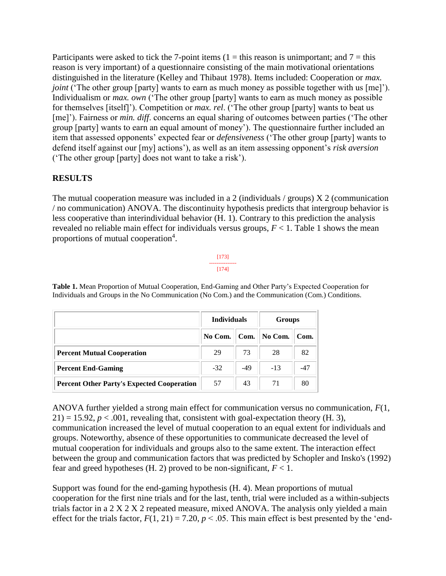Participants were asked to tick the 7-point items (1 = this reason is unimportant; and 7 = this reason is very important) of a questionnaire consisting of the main motivational orientations distinguished in the literature (Kelley and Thibaut 1978). Items included: Cooperation or *max. joint* ('The other group [party] wants to earn as much money as possible together with us [me]'). Individualism or *max. own* ('The other group [party] wants to earn as much money as possible for themselves [itself]'). Competition or *max. rel*. ('The other group [party] wants to beat us [me]'). Fairness or *min. diff.* concerns an equal sharing of outcomes between parties ('The other group [party] wants to earn an equal amount of money'). The questionnaire further included an item that assessed opponents' expected fear or *defensiveness* ('The other group [party] wants to defend itself against our [my] actions'), as well as an item assessing opponent's *risk aversion* ('The other group [party] does not want to take a risk').

# **RESULTS**

The mutual cooperation measure was included in a 2 (individuals / groups)  $X$  2 (communication / no communication) ANOVA. The discontinuity hypothesis predicts that intergroup behavior is less cooperative than interindividual behavior (H. 1). Contrary to this prediction the analysis revealed no reliable main effect for individuals versus groups,  $F < 1$ . Table 1 shows the mean proportions of mutual cooperation<sup>4</sup>.

# [173] ---------------

[174]

**Table 1.** Mean Proportion of Mutual Cooperation, End-Gaming and Other Party's Expected Cooperation for Individuals and Groups in the No Communication (No Com.) and the Communication (Com.) Conditions.

|                                                   | <b>Individuals</b> |       | Groups  |       |
|---------------------------------------------------|--------------------|-------|---------|-------|
|                                                   | No Com.            | Com.  | No Com. | Com.  |
| <b>Percent Mutual Cooperation</b>                 | 29                 | 73    | 28      | 82    |
| <b>Percent End-Gaming</b>                         | $-32$              | $-49$ | $-13$   | $-47$ |
| <b>Percent Other Party's Expected Cooperation</b> | 57                 | 43    | 71      | 80    |

ANOVA further yielded a strong main effect for communication versus no communication, *F*(1,  $21$ ) = 15.92,  $p < .001$ , revealing that, consistent with goal-expectation theory (H. 3), communication increased the level of mutual cooperation to an equal extent for individuals and groups. Noteworthy, absence of these opportunities to communicate decreased the level of mutual cooperation for individuals and groups also to the same extent. The interaction effect between the group and communication factors that was predicted by Schopler and Insko's (1992) fear and greed hypotheses (H. 2) proved to be non-significant,  $F < 1$ .

Support was found for the end-gaming hypothesis (H. 4). Mean proportions of mutual cooperation for the first nine trials and for the last, tenth, trial were included as a within-subjects trials factor in a 2 X 2 X 2 repeated measure, mixed ANOVA. The analysis only yielded a main effect for the trials factor,  $F(1, 21) = 7.20$ ,  $p < .05$ . This main effect is best presented by the 'end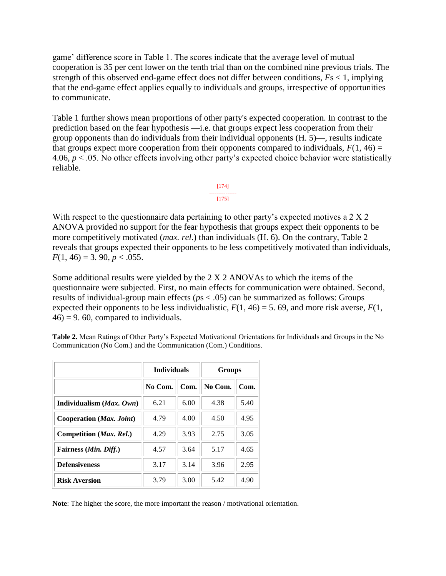game' difference score in Table 1. The scores indicate that the average level of mutual cooperation is 35 per cent lower on the tenth trial than on the combined nine previous trials. The strength of this observed end-game effect does not differ between conditions, *F*s < 1, implying that the end-game effect applies equally to individuals and groups, irrespective of opportunities to communicate.

Table 1 further shows mean proportions of other party's expected cooperation. In contrast to the prediction based on the fear hypothesis —i.e. that groups expect less cooperation from their group opponents than do individuals from their individual opponents (H. 5)—, results indicate that groups expect more cooperation from their opponents compared to individuals,  $F(1, 46) =$ 4.06, *p* < .05. No other effects involving other party's expected choice behavior were statistically reliable.



With respect to the questionnaire data pertaining to other party's expected motives a 2 X 2 ANOVA provided no support for the fear hypothesis that groups expect their opponents to be more competitively motivated (*max. rel*.) than individuals (H. 6). On the contrary, Table 2 reveals that groups expected their opponents to be less competitively motivated than individuals,  $F(1, 46) = 3.90, p < .055.$ 

Some additional results were yielded by the 2 X 2 ANOVAs to which the items of the questionnaire were subjected. First, no main effects for communication were obtained. Second, results of individual-group main effects (*p*s < .05) can be summarized as follows: Groups expected their opponents to be less individualistic,  $F(1, 46) = 5$ . 69, and more risk averse,  $F(1, 46) = 5$ .  $46$ ) = 9.60, compared to individuals.

**Table 2.** Mean Ratings of Other Party's Expected Motivational Orientations for Individuals and Groups in the No Communication (No Com.) and the Communication (Com.) Conditions.

|                                | <b>Individuals</b> |      | <b>Groups</b> |      |
|--------------------------------|--------------------|------|---------------|------|
|                                | No Com.            | Com. | No Com.       | Com. |
| Individualism $(Max, Own)$     | 6.21               | 6.00 | 4.38          | 5.40 |
| Cooperation (Max. Joint)       | 4.79               | 4.00 | 4.50          | 4.95 |
| Competition (Max. Rel.)        | 4.29               | 3.93 | 2.75          | 3.05 |
| Fairness ( <i>Min. Diff.</i> ) | 4.57               | 3.64 | 5.17          | 4.65 |
| <b>Defensiveness</b>           | 3.17               | 3.14 | 3.96          | 2.95 |
| <b>Risk Aversion</b>           | 3.79               | 3.00 | 5.42          | 4.90 |

**Note**: The higher the score, the more important the reason / motivational orientation.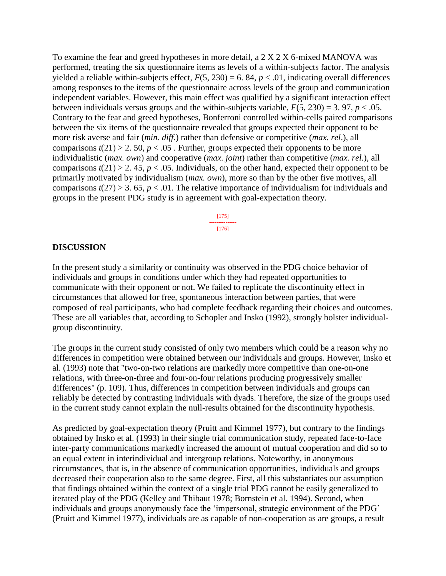To examine the fear and greed hypotheses in more detail, a 2 X 2 X 6-mixed MANOVA was performed, treating the six questionnaire items as levels of a within-subjects factor. The analysis yielded a reliable within-subjects effect,  $F(5, 230) = 6.84$ ,  $p < .01$ , indicating overall differences among responses to the items of the questionnaire across levels of the group and communication independent variables. However, this main effect was qualified by a significant interaction effect between individuals versus groups and the within-subjects variable,  $F(5, 230) = 3.97$ ,  $p < .05$ . Contrary to the fear and greed hypotheses, Bonferroni controlled within-cells paired comparisons between the six items of the questionnaire revealed that groups expected their opponent to be more risk averse and fair (*min. diff*.) rather than defensive or competitive (*max. rel*.), all comparisons  $t(21) > 2$ . 50,  $p < .05$ . Further, groups expected their opponents to be more individualistic (*max. own*) and cooperative (*max. joint*) rather than competitive (*max. rel*.), all comparisons  $t(21) > 2$ . 45,  $p < .05$ . Individuals, on the other hand, expected their opponent to be primarily motivated by individualism (*max. own*), more so than by the other five motives, all comparisons  $t(27) > 3$ . 65,  $p < 0.01$ . The relative importance of individualism for individuals and groups in the present PDG study is in agreement with goal-expectation theory.

> [175] --------------- [176]

#### **DISCUSSION**

In the present study a similarity or continuity was observed in the PDG choice behavior of individuals and groups in conditions under which they had repeated opportunities to communicate with their opponent or not. We failed to replicate the discontinuity effect in circumstances that allowed for free, spontaneous interaction between parties, that were composed of real participants, who had complete feedback regarding their choices and outcomes. These are all variables that, according to Schopler and Insko (1992), strongly bolster individualgroup discontinuity.

The groups in the current study consisted of only two members which could be a reason why no differences in competition were obtained between our individuals and groups. However, Insko et al. (1993) note that "two-on-two relations are markedly more competitive than one-on-one relations, with three-on-three and four-on-four relations producing progressively smaller differences" (p. 109). Thus, differences in competition between individuals and groups can reliably be detected by contrasting individuals with dyads. Therefore, the size of the groups used in the current study cannot explain the null-results obtained for the discontinuity hypothesis.

As predicted by goal-expectation theory (Pruitt and Kimmel 1977), but contrary to the findings obtained by Insko et al. (1993) in their single trial communication study, repeated face-to-face inter-party communications markedly increased the amount of mutual cooperation and did so to an equal extent in interindividual and intergroup relations. Noteworthy, in anonymous circumstances, that is, in the absence of communication opportunities, individuals and groups decreased their cooperation also to the same degree. First, all this substantiates our assumption that findings obtained within the context of a single trial PDG cannot be easily generalized to iterated play of the PDG (Kelley and Thibaut 1978; Bornstein et al. 1994). Second, when individuals and groups anonymously face the 'impersonal, strategic environment of the PDG' (Pruitt and Kimmel 1977), individuals are as capable of non-cooperation as are groups, a result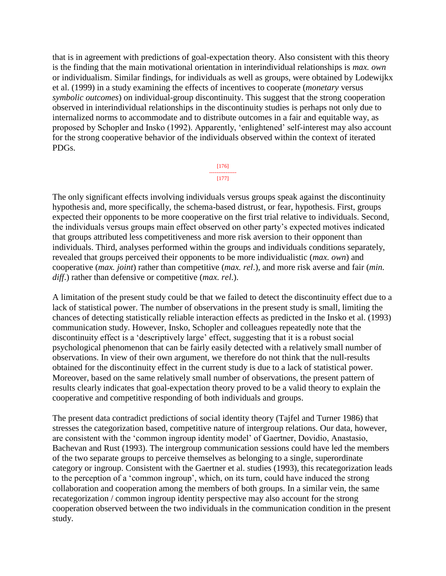that is in agreement with predictions of goal-expectation theory. Also consistent with this theory is the finding that the main motivational orientation in interindividual relationships is *max. own* or individualism. Similar findings, for individuals as well as groups, were obtained by Lodewijkx et al. (1999) in a study examining the effects of incentives to cooperate (*monetary* versus *symbolic outcomes*) on individual-group discontinuity. This suggest that the strong cooperation observed in interindividual relationships in the discontinuity studies is perhaps not only due to internalized norms to accommodate and to distribute outcomes in a fair and equitable way, as proposed by Schopler and Insko (1992). Apparently, 'enlightened' self-interest may also account for the strong cooperative behavior of the individuals observed within the context of iterated PDGs.

> [176] --------------- [177]

The only significant effects involving individuals versus groups speak against the discontinuity hypothesis and, more specifically, the schema-based distrust, or fear, hypothesis. First, groups expected their opponents to be more cooperative on the first trial relative to individuals. Second, the individuals versus groups main effect observed on other party's expected motives indicated that groups attributed less competitiveness and more risk aversion to their opponent than individuals. Third, analyses performed within the groups and individuals conditions separately, revealed that groups perceived their opponents to be more individualistic (*max. own*) and cooperative (*max. joint*) rather than competitive (*max. rel*.), and more risk averse and fair (*min. diff*.) rather than defensive or competitive (*max. rel*.).

A limitation of the present study could be that we failed to detect the discontinuity effect due to a lack of statistical power. The number of observations in the present study is small, limiting the chances of detecting statistically reliable interaction effects as predicted in the Insko et al. (1993) communication study. However, Insko, Schopler and colleagues repeatedly note that the discontinuity effect is a 'descriptively large' effect, suggesting that it is a robust social psychological phenomenon that can be fairly easily detected with a relatively small number of observations. In view of their own argument, we therefore do not think that the null-results obtained for the discontinuity effect in the current study is due to a lack of statistical power. Moreover, based on the same relatively small number of observations, the present pattern of results clearly indicates that goal-expectation theory proved to be a valid theory to explain the cooperative and competitive responding of both individuals and groups.

The present data contradict predictions of social identity theory (Tajfel and Turner 1986) that stresses the categorization based, competitive nature of intergroup relations. Our data, however, are consistent with the 'common ingroup identity model' of Gaertner, Dovidio, Anastasio, Bachevan and Rust (1993). The intergroup communication sessions could have led the members of the two separate groups to perceive themselves as belonging to a single, superordinate category or ingroup. Consistent with the Gaertner et al. studies (1993), this recategorization leads to the perception of a 'common ingroup', which, on its turn, could have induced the strong collaboration and cooperation among the members of both groups. In a similar vein, the same recategorization / common ingroup identity perspective may also account for the strong cooperation observed between the two individuals in the communication condition in the present study.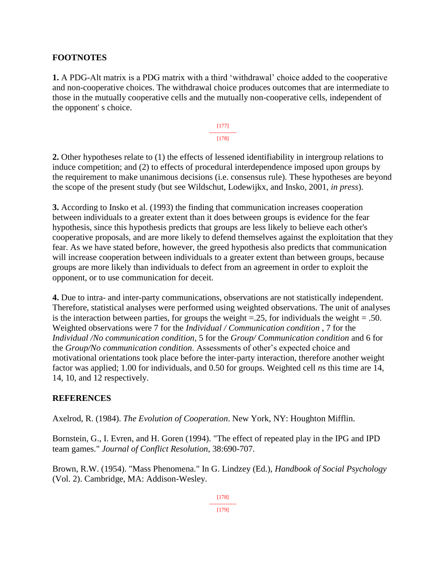### **FOOTNOTES**

**1.** A PDG-Alt matrix is a PDG matrix with a third 'withdrawal' choice added to the cooperative and non-cooperative choices. The withdrawal choice produces outcomes that are intermediate to those in the mutually cooperative cells and the mutually non-cooperative cells, independent of the opponent' s choice.



**2.** Other hypotheses relate to (1) the effects of lessened identifiability in intergroup relations to induce competition; and (2) to effects of procedural interdependence imposed upon groups by the requirement to make unanimous decisions (i.e. consensus rule). These hypotheses are beyond the scope of the present study (but see Wildschut, Lodewijkx, and Insko, 2001, *in press*).

**3.** According to Insko et al. (1993) the finding that communication increases cooperation between individuals to a greater extent than it does between groups is evidence for the fear hypothesis, since this hypothesis predicts that groups are less likely to believe each other's cooperative proposals, and are more likely to defend themselves against the exploitation that they fear. As we have stated before, however, the greed hypothesis also predicts that communication will increase cooperation between individuals to a greater extent than between groups, because groups are more likely than individuals to defect from an agreement in order to exploit the opponent, or to use communication for deceit.

**4.** Due to intra- and inter-party communications, observations are not statistically independent. Therefore, statistical analyses were performed using weighted observations. The unit of analyses is the interaction between parties, for groups the weight  $=$  25, for individuals the weight  $=$  .50. Weighted observations were 7 for the *Individual / Communication condition* , 7 for the *Individual /No communication condition*, 5 for the *Group/ Communication condition* and 6 for the *Group/No communication condition*. Assessments of other's expected choice and motivational orientations took place before the inter-party interaction, therefore another weight factor was applied; 1.00 for individuals, and 0.50 for groups. Weighted cell *n*s this time are 14, 14, 10, and 12 respectively.

#### **REFERENCES**

Axelrod, R. (1984). *The Evolution of Cooperation*. New York, NY: Houghton Mifflin.

Bornstein, G., I. Evren, and H. Goren (1994). "The effect of repeated play in the IPG and IPD team games." *Journal of Conflict Resolution*, 38:690-707.

Brown, R.W. (1954). "Mass Phenomena." In G. Lindzey (Ed.), *Handbook of Social Psychology* (Vol. 2). Cambridge, MA: Addison-Wesley.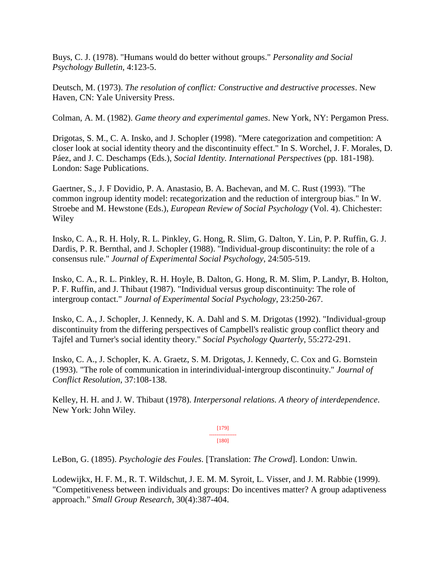Buys, C. J. (1978). "Humans would do better without groups." *Personality and Social Psychology Bulletin*, 4:123-5.

Deutsch, M. (1973). *The resolution of conflict: Constructive and destructive processes*. New Haven, CN: Yale University Press.

Colman, A. M. (1982). *Game theory and experimental games*. New York, NY: Pergamon Press.

Drigotas, S. M., C. A. Insko, and J. Schopler (1998). "Mere categorization and competition: A closer look at social identity theory and the discontinuity effect." In S. Worchel, J. F. Morales, D. Páez, and J. C. Deschamps (Eds.), *Social Identity. International Perspectives* (pp. 181-198). London: Sage Publications.

Gaertner, S., J. F Dovidio, P. A. Anastasio, B. A. Bachevan, and M. C. Rust (1993). "The common ingroup identity model: recategorization and the reduction of intergroup bias." In W. Stroebe and M. Hewstone (Eds.), *European Review of Social Psychology* (Vol. 4). Chichester: Wiley

Insko, C. A., R. H. Holy, R. L. Pinkley, G. Hong, R. Slim, G. Dalton, Y. Lin, P. P. Ruffin, G. J. Dardis, P. R. Bernthal, and J. Schopler (1988). "Individual-group discontinuity: the role of a consensus rule." *Journal of Experimental Social Psychology*, 24:505-519.

Insko, C. A., R. L. Pinkley, R. H. Hoyle, B. Dalton, G. Hong, R. M. Slim, P. Landyr, B. Holton, P. F. Ruffin, and J. Thibaut (1987). "Individual versus group discontinuity: The role of intergroup contact." *Journal of Experimental Social Psychology*, 23:250-267.

Insko, C. A., J. Schopler, J. Kennedy, K. A. Dahl and S. M. Drigotas (1992). "Individual-group discontinuity from the differing perspectives of Campbell's realistic group conflict theory and Tajfel and Turner's social identity theory." *Social Psychology Quarterly*, 55:272-291.

Insko, C. A., J. Schopler, K. A. Graetz, S. M. Drigotas, J. Kennedy, C. Cox and G. Bornstein (1993). "The role of communication in interindividual-intergroup discontinuity." *Journal of Conflict Resolution*, 37:108-138.

Kelley, H. H. and J. W. Thibaut (1978). *Interpersonal relations. A theory of interdependence*. New York: John Wiley.

> [179] --------------- [180]

LeBon, G. (1895). *Psychologie des Foules*. [Translation: *The Crowd*]. London: Unwin.

Lodewijkx, H. F. M., R. T. Wildschut, J. E. M. M. Syroit, L. Visser, and J. M. Rabbie (1999). "Competitiveness between individuals and groups: Do incentives matter? A group adaptiveness approach." *Small Group Research,* 30(4):387-404.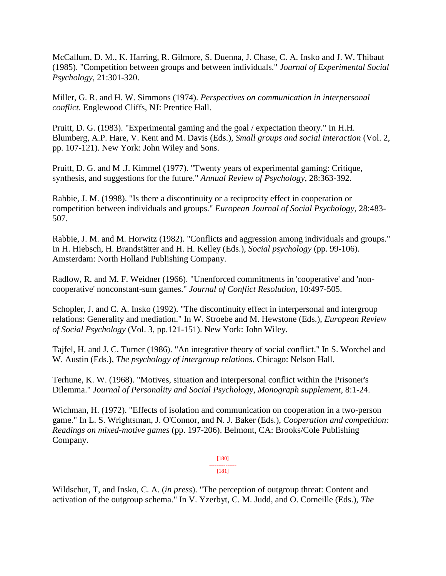McCallum, D. M., K. Harring, R. Gilmore, S. Duenna, J. Chase, C. A. Insko and J. W. Thibaut (1985). "Competition between groups and between individuals." *Journal of Experimental Social Psychology*, 21:301-320.

Miller, G. R. and H. W. Simmons (1974). *Perspectives on communication in interpersonal conflict*. Englewood Cliffs, NJ: Prentice Hall.

Pruitt, D. G. (1983). "Experimental gaming and the goal / expectation theory." In H.H. Blumberg, A.P. Hare, V. Kent and M. Davis (Eds.), *Small groups and social interaction* (Vol. 2, pp. 107-121). New York: John Wiley and Sons.

Pruitt, D. G. and M .J. Kimmel (1977). "Twenty years of experimental gaming: Critique, synthesis, and suggestions for the future." *Annual Review of Psychology*, 28:363-392.

Rabbie, J. M. (1998). "Is there a discontinuity or a reciprocity effect in cooperation or competition between individuals and groups." *European Journal of Social Psychology*, 28:483- 507.

Rabbie, J. M. and M. Horwitz (1982). "Conflicts and aggression among individuals and groups." In H. Hiebsch, H. Brandstätter and H. H. Kelley (Eds.), *Social psychology* (pp. 99-106). Amsterdam: North Holland Publishing Company.

Radlow, R. and M. F. Weidner (1966). "Unenforced commitments in 'cooperative' and 'noncooperative' nonconstant-sum games." *Journal of Conflict Resolution*, 10:497-505.

Schopler, J. and C. A. Insko (1992). "The discontinuity effect in interpersonal and intergroup relations: Generality and mediation." In W. Stroebe and M. Hewstone (Eds.), *European Review of Social Psychology* (Vol. 3, pp.121-151). New York: John Wiley.

Tajfel, H. and J. C. Turner (1986). "An integrative theory of social conflict." In S. Worchel and W. Austin (Eds.), *The psychology of intergroup relations*. Chicago: Nelson Hall.

Terhune, K. W. (1968). "Motives, situation and interpersonal conflict within the Prisoner's Dilemma." *Journal of Personality and Social Psychology*, *Monograph supplement*, 8:1-24.

Wichman, H. (1972). "Effects of isolation and communication on cooperation in a two-person game." In L. S. Wrightsman, J. O'Connor, and N. J. Baker (Eds.), *Cooperation and competition: Readings on mixed-motive games* (pp. 197-206). Belmont, CA: Brooks/Cole Publishing Company.

> [180] --------------- [181]

Wildschut, T, and Insko, C. A. (*in press*). "The perception of outgroup threat: Content and activation of the outgroup schema." In V. Yzerbyt, C. M. Judd, and O. Corneille (Eds.), *The*